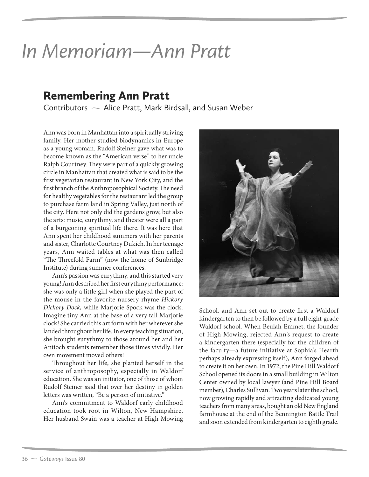## *In Memoriam—Ann Pratt*

Remembering Ann Pratt Contributors Alice Pratt, Mark Birdsall, and Susan Weber

Ann was born in Manhattan into a spiritually striving family. Her mother studied biodynamics in Europe as a young woman. Rudolf Steiner gave what was to become known as the "American verse" to her uncle Ralph Courtney. They were part of a quickly growing circle in Manhattan that created what is said to be the first vegetarian restaurant in New York City, and the first branch of the Anthroposophical Society. The need for healthy vegetables for the restaurant led the group to purchase farm land in Spring Valley, just north of the city. Here not only did the gardens grow, but also the arts: music, eurythmy, and theater were all a part of a burgeoning spiritual life there. It was here that Ann spent her childhood summers with her parents and sister, Charlotte Courtney Dukich. In her teenage years, Ann waited tables at what was then called "The Threefold Farm" (now the home of Sunbridge Institute) during summer conferences.

Ann's passion was eurythmy, and this started very young! Ann described her first eurythmy performance: she was only a little girl when she played the part of the mouse in the favorite nursery rhyme Hickory Dickory Dock, while Marjorie Spock was the clock. Imagine tiny Ann at the base of a very tall Marjorie clock! She carried this art form with her wherever she landed throughout her life. In every teaching situation, she brought eurythmy to those around her and her Antioch students remember those times vividly. Her own movement moved others!

Throughout her life, she planted herself in the service of anthroposophy, especially in Waldorf education. She was an initiator, one of those of whom Rudolf Steiner said that over her destiny in golden letters was written, "Be a person of initiative."

Ann's commitment to Waldorf early childhood education took root in Wilton, New Hampshire. Her husband Swain was a teacher at High Mowing



School, and Ann set out to create first a Waldorf kindergarten to then be followed by a full eight-grade Waldorf school. When Beulah Emmet, the founder of High Mowing, rejected Ann's request to create a kindergarten there (especially for the children of the faculty—a future initiative at Sophia's Hearth perhaps already expressing itself), Ann forged ahead to create it on her own. In 1972, the Pine Hill Waldorf School opened its doors in a small building in Wilton Center owned by local lawyer (and Pine Hill Board member), Charles Sullivan. Two years later the school, now growing rapidly and attracting dedicated young teachers from many areas, bought an old New England farmhouse at the end of the Bennington Battle Trail and soon extended from kindergarten to eighth grade.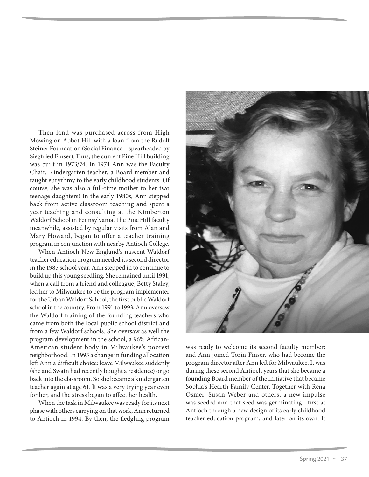Then land was purchased across from High Mowing on Abbot Hill with a loan from the Rudolf Steiner Foundation (Social Finance—spearheaded by Siegfried Finser). Thus, the current Pine Hill building was built in 1973/74. In 1974 Ann was the Faculty Chair, Kindergarten teacher, a Board member and taught eurythmy to the early childhood students. Of course, she was also a full-time mother to her two teenage daughters! In the early 1980s, Ann stepped back from active classroom teaching and spent a year teaching and consulting at the Kimberton Waldorf School in Pennsylvania. The Pine Hill faculty meanwhile, assisted by regular visits from Alan and Mary Howard, began to offer a teacher training program in conjunction with nearby Antioch College.

When Antioch New England's nascent Waldorf teacher education program needed its second director in the 1985 school year, Ann stepped in to continue to build up this young seedling. She remained until 1991, when a call from a friend and colleague, Betty Staley, led her to Milwaukee to be the program implementer for the Urban Waldorf School, the first public Waldorf school in the country. From 1991 to 1993, Ann oversaw the Waldorf training of the founding teachers who came from both the local public school district and from a few Waldorf schools. She oversaw as well the program development in the school, a 96% African-American student body in Milwaukee's poorest neighborhood. In 1993 a change in funding allocation left Ann a difficult choice: leave Milwaukee suddenly (she and Swain had recently bought a residence) or go back into the classroom. So she became a kindergarten teacher again at age 61. It was a very trying year even for her, and the stress began to affect her health.

When the task in Milwaukee was ready for its next phase with others carrying on that work, Ann returned to Antioch in 1994. By then, the fledgling program



was ready to welcome its second faculty member; and Ann joined Torin Finser, who had become the program director after Ann left for Milwaukee. It was during these second Antioch years that she became a founding Board member of the initiative that became Sophia's Hearth Family Center. Together with Rena Osmer, Susan Weber and others, a new impulse was seeded and that seed was germinating—first at Antioch through a new design of its early childhood teacher education program, and later on its own. It